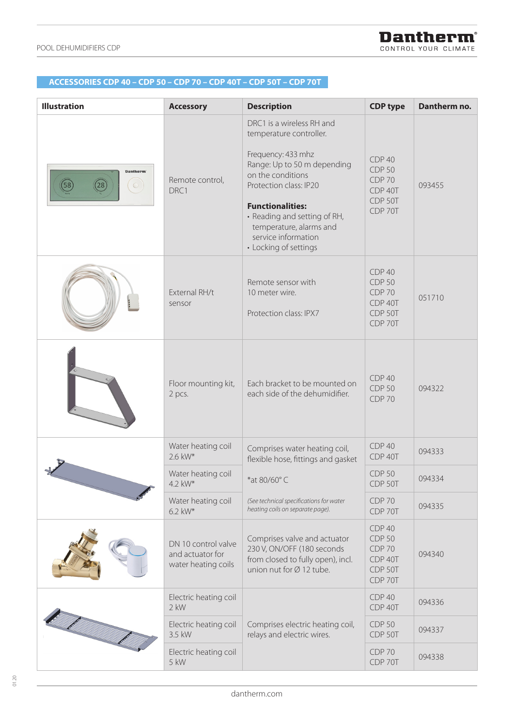## **ACCESSORIES CDP 35 – CDP 45 – CDP 65 – CDP 35T – CDP 45T – CDP 65T ACCESSORIES CDP 40 – CDP 50 – CDP 70 – CDP 40T – CDP 50T – CDP 70T**

| <b>Illustration</b>                          | <b>Accessory</b>                                               | <b>Description</b>                                                                                                                                                                                                                                                                             | <b>CDP type</b>                                                           | Dantherm no. |
|----------------------------------------------|----------------------------------------------------------------|------------------------------------------------------------------------------------------------------------------------------------------------------------------------------------------------------------------------------------------------------------------------------------------------|---------------------------------------------------------------------------|--------------|
| Dantherm'<br>58<br>28<br>$\circlearrowright$ | Remote control,<br>DRC1                                        | DRC1 is a wireless RH and<br>temperature controller.<br>Frequency: 433 mhz<br>Range: Up to 50 m depending<br>on the conditions<br>Protection class: IP20<br><b>Functionalities:</b><br>• Reading and setting of RH,<br>temperature, alarms and<br>service information<br>• Locking of settings | CDP 40<br><b>CDP 50</b><br><b>CDP 70</b><br>CDP 40T<br>CDP 50T<br>CDP 70T | 093455       |
|                                              | External RH/t<br>sensor                                        | Remote sensor with<br>10 meter wire.<br>Protection class: IPX7                                                                                                                                                                                                                                 | CDP 40<br><b>CDP 50</b><br><b>CDP 70</b><br>CDP 40T<br>CDP 50T<br>CDP 70T | 051710       |
|                                              | Floor mounting kit,<br>2 pcs.                                  | Each bracket to be mounted on<br>each side of the dehumidifier.                                                                                                                                                                                                                                | CDP 40<br><b>CDP 50</b><br><b>CDP 70</b>                                  | 094322       |
|                                              | Water heating coil<br>2.6 kW*                                  | Comprises water heating coil,<br>flexible hose, fittings and gasket                                                                                                                                                                                                                            | CDP 40<br>CDP 40T                                                         | 094333       |
|                                              | Water heating coil<br>4.2 kW*                                  | *at 80/60°C                                                                                                                                                                                                                                                                                    | <b>CDP 50</b><br>CDP 50T                                                  | 094334       |
|                                              | Water heating coil<br>6.2 kW*                                  | (See technical specifications for water<br>heating coils on separate page).                                                                                                                                                                                                                    | <b>CDP 70</b><br>CDP 70T                                                  | 094335       |
|                                              | DN 10 control valve<br>and actuator for<br>water heating coils | Comprises valve and actuator<br>230 V, ON/OFF (180 seconds<br>from closed to fully open), incl.<br>union nut for $\varnothing$ 12 tube.                                                                                                                                                        | CDP 40<br><b>CDP 50</b><br><b>CDP 70</b><br>CDP 40T<br>CDP 50T<br>CDP 70T | 094340       |
|                                              | Electric heating coil<br>$2$ kW                                | Comprises electric heating coil,<br>relays and electric wires.                                                                                                                                                                                                                                 | <b>CDP 40</b><br>CDP 40T                                                  | 094336       |
|                                              | Electric heating coil<br>3.5 kW                                |                                                                                                                                                                                                                                                                                                | <b>CDP 50</b><br>CDP 50T                                                  | 094337       |
|                                              | Electric heating coil<br>5 kW                                  |                                                                                                                                                                                                                                                                                                | <b>CDP 70</b><br>CDP 70T                                                  | 094338       |